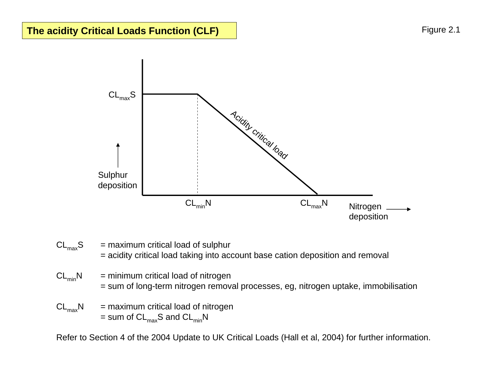

- $CL_{max}S$  = maximum critical load of sulphur = acidity critical load taking into account base cation deposition and removal
- $CL_{min}N$  = minimum critical load of nitrogen = sum of long-term nitrogen removal processes, eg, nitrogen uptake, immobilisation
- $CL_{max}N$  = maximum critical load of nitrogen  $=$  sum of  $CL_{max}S$  and  $CL_{min}N$

Refer to Section 4 of the 2004 Update to UK Critical Loads (Hall et al, 2004) for further information.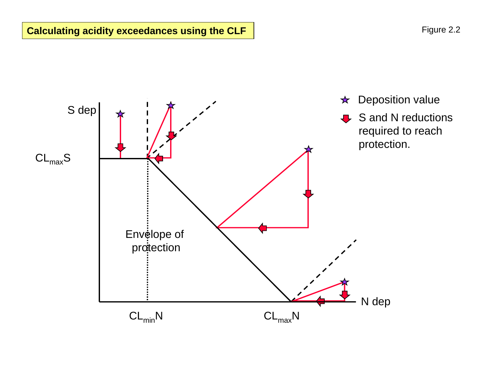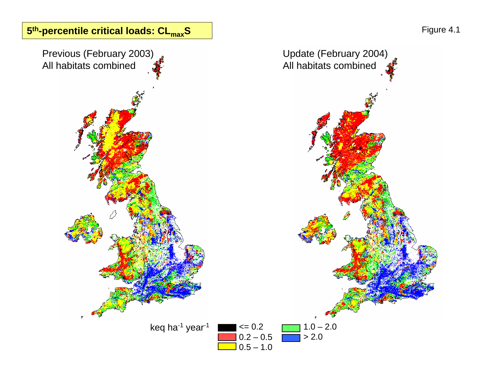

0.2 – 0.5 0.5 – 1.0 1.0 – 2.0

> 2.0

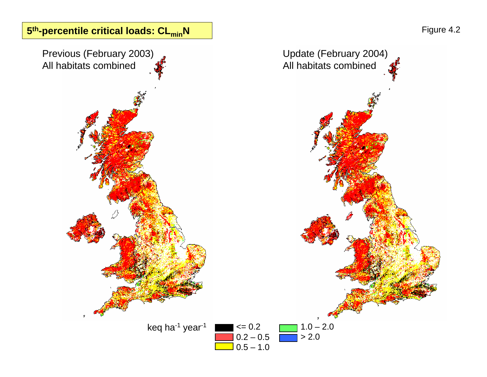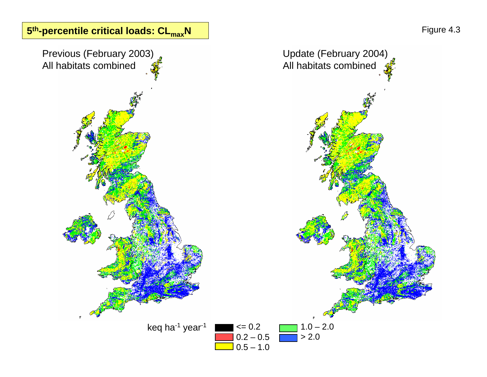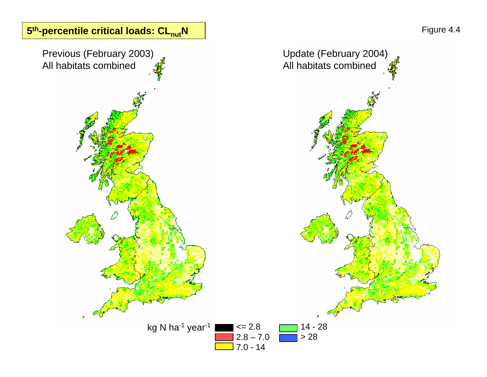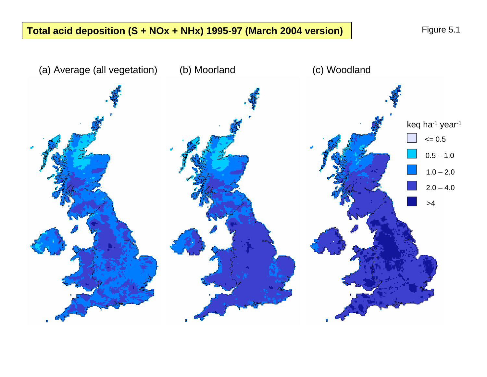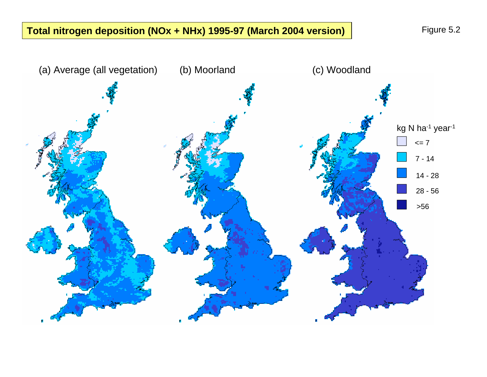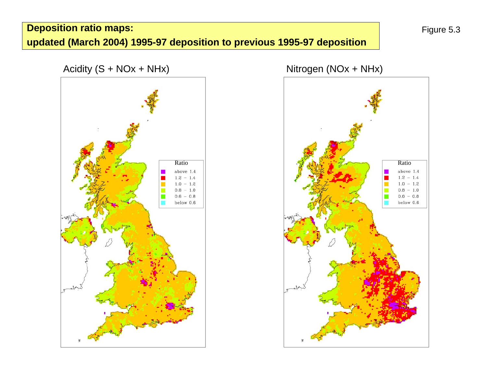## **Deposition ratio maps: updated (March 2004) 1995-97 deposition to previous 1995-97 deposition**



Acidity (S + NOx + NHx) Nitrogen (NOx + NHx)

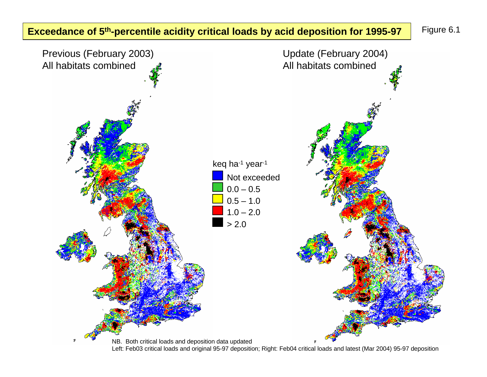**Exceedance of 5<sup>th</sup>-percentile acidity critical loads by acid deposition for 1995-97** Figure 6.1



Left: Feb03 critical loads and original 95-97 deposition; Right: Feb04 critical loads and latest (Mar 2004) 95-97 deposition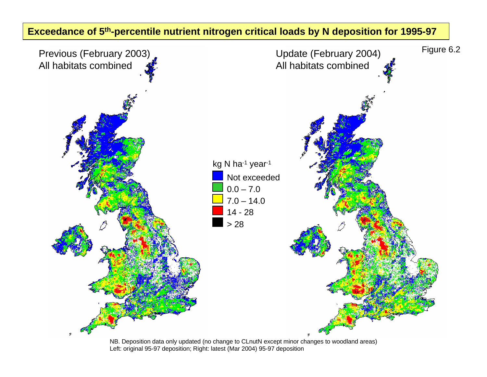## **Exceedance of 5th-percentile nutrient nitrogen critical loads by N deposition for 1995-97**



NB. Deposition data only updated (no change to CLnutN except minor changes to woodland areas) Left: original 95-97 deposition; Right: latest (Mar 2004) 95-97 deposition